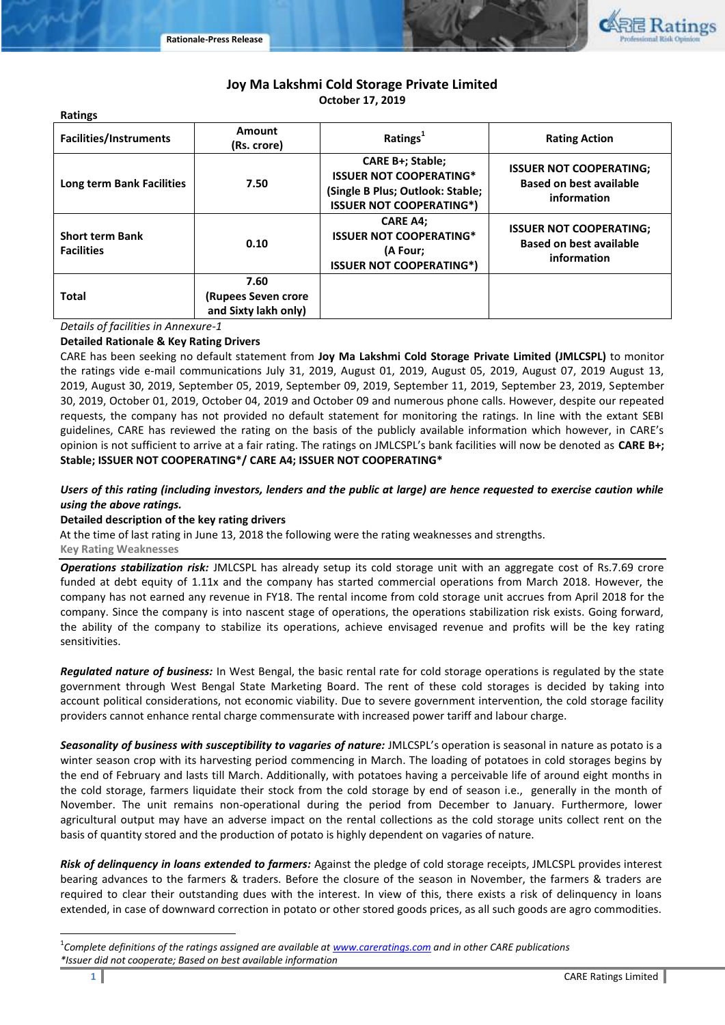

# **Joy Ma Lakshmi Cold Storage Private Limited October 17, 2019**

| <b>Ratings</b>                              |                                                     |                                                                                                                                  |                                                                                 |  |  |  |  |  |
|---------------------------------------------|-----------------------------------------------------|----------------------------------------------------------------------------------------------------------------------------------|---------------------------------------------------------------------------------|--|--|--|--|--|
| <b>Facilities/Instruments</b>               | <b>Amount</b><br>(Rs. crore)                        | Ratings <sup>1</sup>                                                                                                             | <b>Rating Action</b>                                                            |  |  |  |  |  |
| Long term Bank Facilities                   | 7.50                                                | <b>CARE B+; Stable;</b><br><b>ISSUER NOT COOPERATING*</b><br>(Single B Plus; Outlook: Stable;<br><b>ISSUER NOT COOPERATING*)</b> | <b>ISSUER NOT COOPERATING:</b><br><b>Based on best available</b><br>information |  |  |  |  |  |
| <b>Short term Bank</b><br><b>Facilities</b> | 0.10                                                | <b>CARE A4;</b><br><b>ISSUER NOT COOPERATING*</b><br>(A Four;<br><b>ISSUER NOT COOPERATING*)</b>                                 | <b>ISSUER NOT COOPERATING:</b><br><b>Based on best available</b><br>information |  |  |  |  |  |
| <b>Total</b>                                | 7.60<br>(Rupees Seven crore<br>and Sixty lakh only) |                                                                                                                                  |                                                                                 |  |  |  |  |  |

*Details of facilities in Annexure-1*

### **Detailed Rationale & Key Rating Drivers**

CARE has been seeking no default statement from **Joy Ma Lakshmi Cold Storage Private Limited (JMLCSPL)** to monitor the ratings vide e-mail communications July 31, 2019, August 01, 2019, August 05, 2019, August 07, 2019 August 13, 2019, August 30, 2019, September 05, 2019, September 09, 2019, September 11, 2019, September 23, 2019, September 30, 2019, October 01, 2019, October 04, 2019 and October 09 and numerous phone calls. However, despite our repeated requests, the company has not provided no default statement for monitoring the ratings. In line with the extant SEBI guidelines, CARE has reviewed the rating on the basis of the publicly available information which however, in CARE's opinion is not sufficient to arrive at a fair rating. The ratings on JMLCSPL's bank facilities will now be denoted as **CARE B+; Stable; ISSUER NOT COOPERATING\*/ CARE A4; ISSUER NOT COOPERATING\***

### *Users of this rating (including investors, lenders and the public at large) are hence requested to exercise caution while using the above ratings.*

### **Detailed description of the key rating drivers**

At the time of last rating in June 13, 2018 the following were the rating weaknesses and strengths.

### **Key Rating Weaknesses**

*Operations stabilization risk:* JMLCSPL has already setup its cold storage unit with an aggregate cost of Rs.7.69 crore funded at debt equity of 1.11x and the company has started commercial operations from March 2018. However, the company has not earned any revenue in FY18. The rental income from cold storage unit accrues from April 2018 for the company. Since the company is into nascent stage of operations, the operations stabilization risk exists. Going forward, the ability of the company to stabilize its operations, achieve envisaged revenue and profits will be the key rating sensitivities.

*Regulated nature of business:* In West Bengal, the basic rental rate for cold storage operations is regulated by the state government through West Bengal State Marketing Board. The rent of these cold storages is decided by taking into account political considerations, not economic viability. Due to severe government intervention, the cold storage facility providers cannot enhance rental charge commensurate with increased power tariff and labour charge.

Seasonality of business with susceptibility to vagaries of nature: JMLCSPL's operation is seasonal in nature as potato is a winter season crop with its harvesting period commencing in March. The loading of potatoes in cold storages begins by the end of February and lasts till March. Additionally, with potatoes having a perceivable life of around eight months in the cold storage, farmers liquidate their stock from the cold storage by end of season i.e., generally in the month of November. The unit remains non-operational during the period from December to January. Furthermore, lower agricultural output may have an adverse impact on the rental collections as the cold storage units collect rent on the basis of quantity stored and the production of potato is highly dependent on vagaries of nature.

*Risk of delinquency in loans extended to farmers:* Against the pledge of cold storage receipts, JMLCSPL provides interest bearing advances to the farmers & traders. Before the closure of the season in November, the farmers & traders are required to clear their outstanding dues with the interest. In view of this, there exists a risk of delinquency in loans extended, in case of downward correction in potato or other stored goods prices, as all such goods are agro commodities.

l

<sup>1</sup> *Complete definitions of the ratings assigned are available a[t www.careratings.com](http://www.careratings.com/) and in other CARE publications \*Issuer did not cooperate; Based on best available information*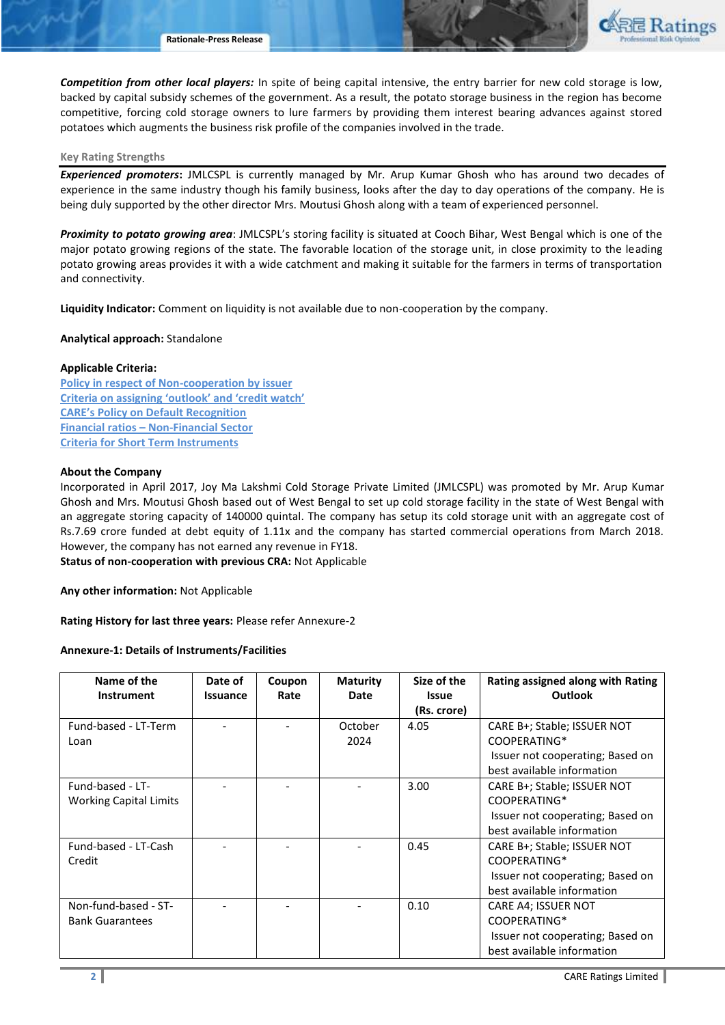

*Competition from other local players:* In spite of being capital intensive, the entry barrier for new cold storage is low, backed by capital subsidy schemes of the government. As a result, the potato storage business in the region has become competitive, forcing cold storage owners to lure farmers by providing them interest bearing advances against stored potatoes which augments the business risk profile of the companies involved in the trade.

#### **Key Rating Strengths**

*Experienced promoters***:** JMLCSPL is currently managed by Mr. Arup Kumar Ghosh who has around two decades of experience in the same industry though his family business, looks after the day to day operations of the company. He is being duly supported by the other director Mrs. Moutusi Ghosh along with a team of experienced personnel.

*Proximity to potato growing area*: JMLCSPL's storing facility is situated at Cooch Bihar, West Bengal which is one of the major potato growing regions of the state. The favorable location of the storage unit, in close proximity to the leading potato growing areas provides it with a wide catchment and making it suitable for the farmers in terms of transportation and connectivity.

**Liquidity Indicator:** Comment on liquidity is not available due to non-cooperation by the company.

**Analytical approach:** Standalone

#### **Applicable Criteria:**

**[Policy in respect of Non-cooperation by issuer](http://www.careratings.com/pdf/resources/CARECreditRatingProcess.pdf) Criteria on assigning 'outlook' and 'credit watch' [CARE's Policy on Default Recognition](http://www.careratings.com/pdf/resources/CAREPolicyonDefaultRecognition.pdf) Financial ratios – [Non-Financial Sector](http://www.careratings.com/pdf/resources/FinancialratiosNonFinancialSector.pdf) [Criteria for Short Term Instruments](http://www.careratings.com/upload/NewsFiles/GetRated/Short%20Term%20Instruments.pdf)**

#### **About the Company**

Incorporated in April 2017, Joy Ma Lakshmi Cold Storage Private Limited (JMLCSPL) was promoted by Mr. Arup Kumar Ghosh and Mrs. Moutusi Ghosh based out of West Bengal to set up cold storage facility in the state of West Bengal with an aggregate storing capacity of 140000 quintal. The company has setup its cold storage unit with an aggregate cost of Rs.7.69 crore funded at debt equity of 1.11x and the company has started commercial operations from March 2018. However, the company has not earned any revenue in FY18.

**Status of non-cooperation with previous CRA:** Not Applicable

**Any other information:** Not Applicable

**Rating History for last three years:** Please refer Annexure-2

#### **Annexure-1: Details of Instruments/Facilities**

| Name of the<br><b>Instrument</b>                  | Date of<br><b>Issuance</b> | Coupon<br>Rate | <b>Maturity</b><br>Date | Size of the<br><b>Issue</b><br>(Rs. crore) | Rating assigned along with Rating<br><b>Outlook</b>                                                           |
|---------------------------------------------------|----------------------------|----------------|-------------------------|--------------------------------------------|---------------------------------------------------------------------------------------------------------------|
| Fund-based - LT-Term<br>Loan                      |                            |                | October<br>2024         | 4.05                                       | CARE B+; Stable; ISSUER NOT<br>COOPERATING*<br>Issuer not cooperating; Based on<br>best available information |
| Fund-based - LT-<br><b>Working Capital Limits</b> |                            |                |                         | 3.00                                       | CARE B+; Stable; ISSUER NOT<br>COOPERATING*<br>Issuer not cooperating; Based on<br>best available information |
| Fund-based - LT-Cash<br>Credit                    |                            |                |                         | 0.45                                       | CARE B+; Stable; ISSUER NOT<br>COOPERATING*<br>Issuer not cooperating; Based on<br>best available information |
| Non-fund-based - ST-<br><b>Bank Guarantees</b>    |                            |                |                         | 0.10                                       | CARE A4; ISSUER NOT<br>COOPERATING*<br>Issuer not cooperating; Based on<br>best available information         |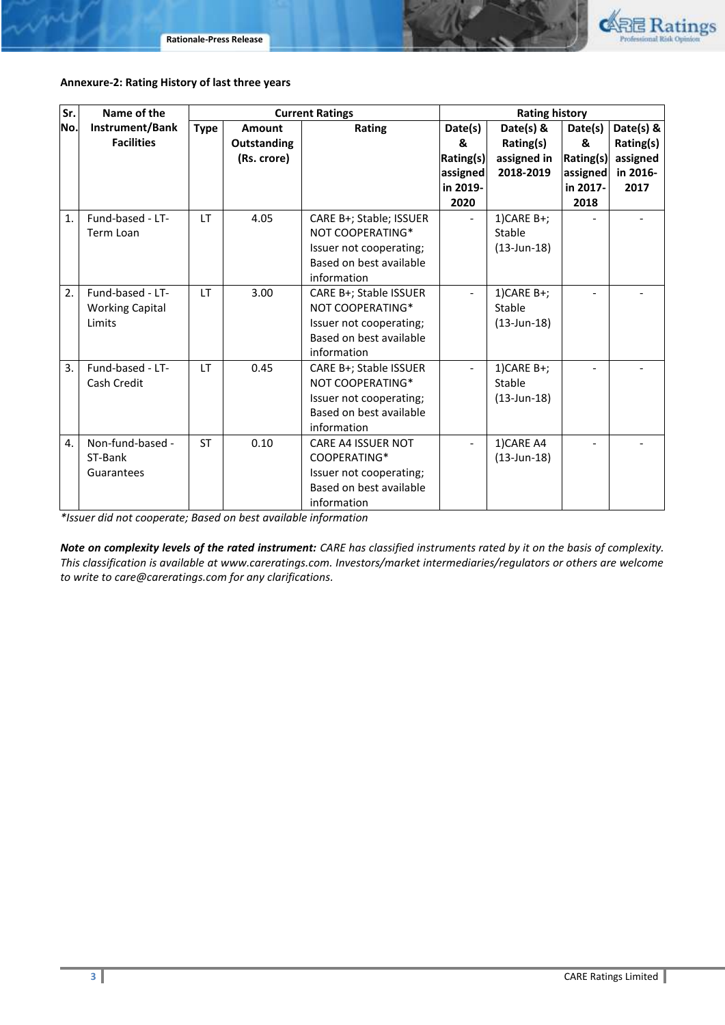

### **Annexure-2: Rating History of last three years**

| Sr.              | Name of the                                          | <b>Current Ratings</b> |                                             |                                                                                                                  | <b>Rating history</b>                                     |                                                    |                                                           |                                                        |
|------------------|------------------------------------------------------|------------------------|---------------------------------------------|------------------------------------------------------------------------------------------------------------------|-----------------------------------------------------------|----------------------------------------------------|-----------------------------------------------------------|--------------------------------------------------------|
| No.              | Instrument/Bank<br><b>Facilities</b>                 | <b>Type</b>            | <b>Amount</b><br>Outstanding<br>(Rs. crore) | Rating                                                                                                           | Date(s)<br>&<br>Rating(s)<br>assigned<br>in 2019-<br>2020 | Date(s) &<br>Rating(s)<br>assigned in<br>2018-2019 | Date(s)<br>&<br>Rating(s)<br>assigned<br>in 2017-<br>2018 | Date(s) &<br>Rating(s)<br>assigned<br>in 2016-<br>2017 |
| $\mathbf{1}$ .   | Fund-based - LT-<br>Term Loan                        | LT.                    | 4.05                                        | CARE B+; Stable; ISSUER<br>NOT COOPERATING*<br>Issuer not cooperating;<br>Based on best available<br>information |                                                           | $1)$ CARE B+;<br>Stable<br>$(13 - Jun - 18)$       |                                                           |                                                        |
| $\overline{2}$ . | Fund-based - LT-<br><b>Working Capital</b><br>Limits | LT.                    | 3.00                                        | CARE B+; Stable ISSUER<br>NOT COOPERATING*<br>Issuer not cooperating;<br>Based on best available<br>information  |                                                           | $1)$ CARE B+;<br>Stable<br>$(13 - Jun - 18)$       |                                                           |                                                        |
| 3.               | Fund-based - LT-<br>Cash Credit                      | <b>LT</b>              | 0.45                                        | CARE B+; Stable ISSUER<br>NOT COOPERATING*<br>Issuer not cooperating;<br>Based on best available<br>information  |                                                           | $1)$ CARE B+;<br>Stable<br>$(13 - Jun - 18)$       |                                                           |                                                        |
| 4.               | Non-fund-based -<br>ST-Bank<br>Guarantees            | <b>ST</b>              | 0.10                                        | <b>CARE A4 ISSUER NOT</b><br>COOPERATING*<br>Issuer not cooperating;<br>Based on best available<br>information   |                                                           | 1)CARE A4<br>$(13 - Jun - 18)$                     |                                                           |                                                        |

*\*Issuer did not cooperate; Based on best available information*

*Note on complexity levels of the rated instrument: CARE has classified instruments rated by it on the basis of complexity. This classification is available at www.careratings.com. Investors/market intermediaries/regulators or others are welcome to write to care@careratings.com for any clarifications.*